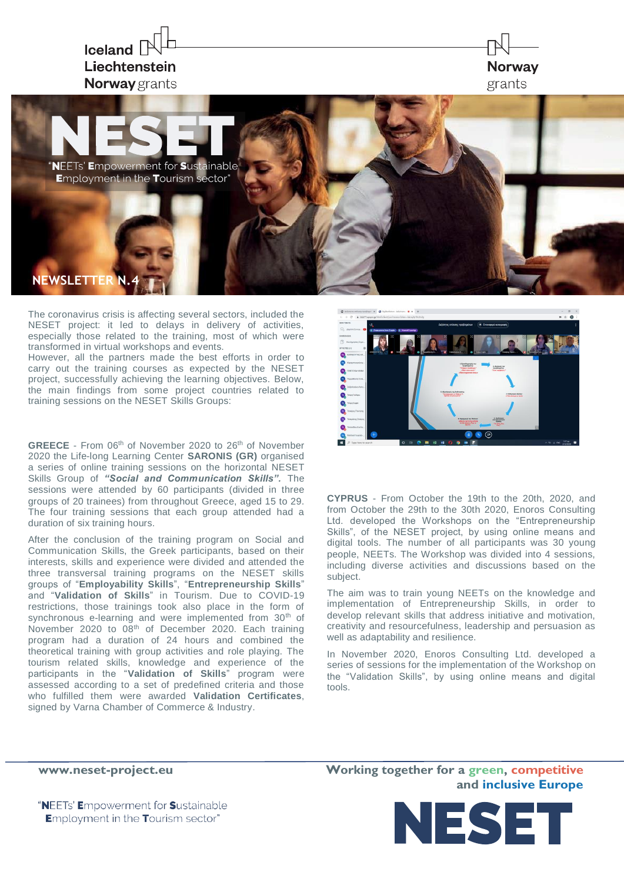

The coronavirus crisis is affecting several sectors, included the NESET project: it led to delays in delivery of activities, especially those related to the training, most of which were transformed in virtual workshops and events.

However, all the partners made the best efforts in order to carry out the training courses as expected by the NESET project, successfully achieving the learning objectives. Below, the main findings from some project countries related to training sessions on the NESET Skills Groups:

**GREECE** - From 06<sup>th</sup> of November 2020 to 26<sup>th</sup> of November 2020 the Life-long Learning Center **SARONIS (GR)** organised a series of online training sessions on the horizontal NESET Skills Group of *"Social and Communication Skills".* The sessions were attended by 60 participants (divided in three groups of 20 trainees) from throughout Greece, aged 15 to 29. The four training sessions that each group attended had a duration of six training hours.

After the conclusion of the training program on Social and Communication Skills, the Greek participants, based on their interests, skills and experience were divided and attended the three transversal training programs on the NESET skills groups of "**Employability Skills**", "**Entrepreneurship Skills**" and "**Validation of Skills**" in Tourism. Due to COVID-19 restrictions, those trainings took also place in the form of synchronous e-learning and were implemented from 30<sup>th</sup> of November 2020 to 08th of December 2020. Each training program had a duration of 24 hours and combined the theoretical training with group activities and role playing. The tourism related skills, knowledge and experience of the participants in the "**Validation of Skills**" program were assessed according to a set of predefined criteria and those who fulfilled them were awarded **Validation Certificates**, signed by Varna Chamber of Commerce & Industry.



**CYPRUS** - From October the 19th to the 20th, 2020, and from October the 29th to the 30th 2020, Enoros Consulting Ltd. developed the Workshops on the "Entrepreneurship Skills", of the NESET project, by using online means and digital tools. The number of all participants was 30 young people, NEETs. The Workshop was divided into 4 sessions, including diverse activities and discussions based on the subject.

The aim was to train young NEETs on the knowledge and implementation of Entrepreneurship Skills, in order to develop relevant skills that address initiative and motivation, creativity and resourcefulness, leadership and persuasion as well as adaptability and resilience.

In November 2020, Enoros Consulting Ltd. developed a series of sessions for the implementation of the Workshop on the "Validation Skills", by using online means and digital tools.

**[www.neset-project.eu](http://www.neset-project.eu/) Working together for a green, competitive and inclusive Europe**